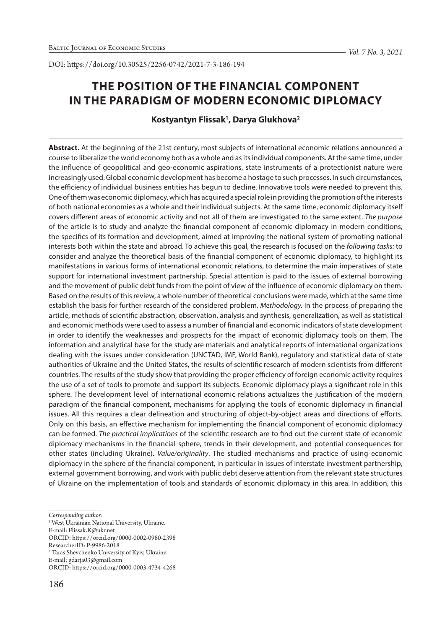# **THE POSITION OF THE FINANCIAL COMPONENT IN THE PARADIGM OF MODERN ECONOMIC DIPLOMACY**

**Kostyantyn Flissak1 , Darya Glukhova2**

**Abstract.** At the beginning of the 21st century, most subjects of international economic relations announced a course to liberalize the world economy both as a whole and as its individual components. At the same time, under the influence of geopolitical and geo-economic aspirations, state instruments of a protectionist nature were increasingly used. Global economic development has become a hostage to such processes. In such circumstances, the efficiency of individual business entities has begun to decline. Innovative tools were needed to prevent this. One of them was economic diplomacy, which has acquired a special role in providing the promotion of the interests of both national economies as a whole and their individual subjects. At the same time, economic diplomacy itself covers different areas of economic activity and not all of them are investigated to the same extent. *The purpose*  of the article is to study and analyze the financial component of economic diplomacy in modern conditions, the specifics of its formation and development, aimed at improving the national system of promoting national interests both within the state and abroad. To achieve this goal, the research is focused on the *following tasks:* to consider and analyze the theoretical basis of the financial component of economic diplomacy, to highlight its manifestations in various forms of international economic relations, to determine the main imperatives of state support for international investment partnership. Special attention is paid to the issues of external borrowing and the movement of public debt funds from the point of view of the influence of economic diplomacy on them. Based on the results of this review, a whole number of theoretical conclusions were made, which at the same time establish the basis for further research of the considered problem. *Methodology.* In the process of preparing the article, methods of scientific abstraction, observation, analysis and synthesis, generalization, as well as statistical and economic methods were used to assess a number of financial and economic indicators of state development in order to identify the weaknesses and prospects for the impact of economic diplomacy tools on them. The information and analytical base for the study are materials and analytical reports of international organizations dealing with the issues under consideration (UNCTAD, IMF, World Bank), regulatory and statistical data of state authorities of Ukraine and the United States, the results of scientific research of modern scientists from different countries. The results of the study show that providing the proper efficiency of foreign economic activity requires the use of a set of tools to promote and support its subjects. Economic diplomacy plays a significant role in this sphere. The development level of international economic relations actualizes the justification of the modern paradigm of the financial component, mechanisms for applying the tools of economic diplomacy in financial issues. All this requires a clear delineation and structuring of object-by-object areas and directions of efforts. Only on this basis, an effective mechanism for implementing the financial component of economic diplomacy can be formed. *The practical implications* of the scientific research are to find out the current state of economic diplomacy mechanisms in the financial sphere, trends in their development, and potential consequences for other states (including Ukraine). *Value/originality*. The studied mechanisms and practice of using economic diplomacy in the sphere of the financial component, in particular in issues of interstate investment partnership, external government borrowing, and work with public debt deserve attention from the relevant state structures of Ukraine on the implementation of tools and standards of economic diplomacy in this area. In addition, this

*Corresponding author:*

<sup>&</sup>lt;sup>1</sup> West Ukrainian National University, Ukraine.

E-mail: Flissak.K@ukr.net

ORCID: https://orcid.org/0000-0002-0980-2398

ResearcherID: P-9986-2018

<sup>2</sup> Taras Shevchenko University of Kyiv, Ukraine.

E-mail: gdarja03@gmail.com

ORCID: https://orcid.org/0000-0003-4734-4268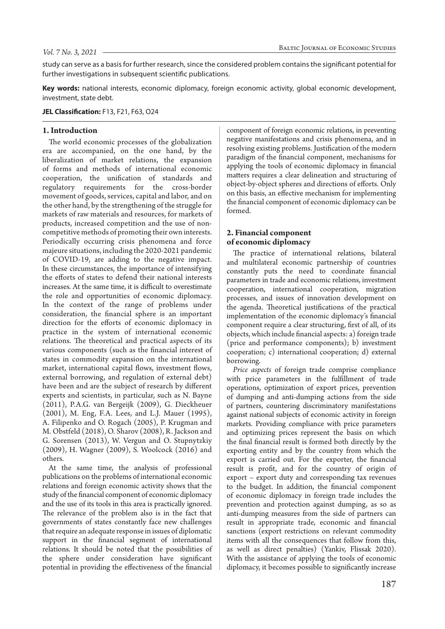study can serve as a basis for further research, since the considered problem contains the significant potential for further investigations in subsequent scientific publications.

**Key words:** national interests, economic diplomacy, foreign economic activity, global economic development, investment, state debt.

**JEL Classification:** F13, F21, F63, O24

## **1. Introduction**

The world economic processes of the globalization era are accompanied, on the one hand, by the liberalization of market relations, the expansion of forms and methods of international economic cooperation, the unification of standards and regulatory requirements for the cross-border movement of goods, services, capital and labor, and on the other hand, by the strengthening of the struggle for markets of raw materials and resources, for markets of products, increased competition and the use of noncompetitive methods of promoting their own interests. Periodically occurring crisis phenomena and force majeure situations, including the 2020-2021 pandemic of COVID-19, are adding to the negative impact. In these circumstances, the importance of intensifying the efforts of states to defend their national interests increases. At the same time, it is difficult to overestimate the role and opportunities of economic diplomacy. In the context of the range of problems under consideration, the financial sphere is an important direction for the efforts of economic diplomacy in practice in the system of international economic relations. The theoretical and practical aspects of its various components (such as the financial interest of states in commodity expansion on the international market, international capital flows, investment flows, external borrowing, and regulation of external debt) have been and are the subject of research by different experts and scientists, in particular, such as N. Bayne (2011), P.A.G. van Bergeijk (2009), G. Dieckheuer (2001), M. Eng, F.A. Lees, and L.J. Mauer (1995), A. Filipenko and O. Rogach (2005), P. Krugman and M. Obstfeld (2018), O. Sharov (2008), R. Jackson and G. Sorensen (2013), W. Vergun and O. Stupnytzkiy (2009), H. Wagner (2009), S. Woolcock (2016) and others.

At the same time, the analysis of professional publications on the problems of international economic relations and foreign economic activity shows that the study of the financial component of economic diplomacy and the use of its tools in this area is practically ignored. The relevance of the problem also is in the fact that governments of states constantly face new challenges that require an adequate response in issues of diplomatic support in the financial segment of international relations. It should be noted that the possibilities of the sphere under consideration have significant potential in providing the effectiveness of the financial

component of foreign economic relations, in preventing negative manifestations and crisis phenomena, and in resolving existing problems. Justification of the modern paradigm of the financial component, mechanisms for applying the tools of economic diplomacy in financial matters requires a clear delineation and structuring of object-by-object spheres and directions of efforts. Only on this basis, an effective mechanism for implementing the financial component of economic diplomacy can be formed.

# **2. Financial component of economic diplomacy**

The practice of international relations, bilateral and multilateral economic partnership of countries constantly puts the need to coordinate financial parameters in trade and economic relations, investment cooperation, international cooperation, migration processes, and issues of innovation development on the agenda. Theoretical justifications of the practical implementation of the economic diplomacy's financial component require a clear structuring, first of all, of its objects, which include financial aspects: a) foreign trade (price and performance components); b) investment cooperation; c) international cooperation; d) external borrowing.

*Price aspects* of foreign trade comprise compliance with price parameters in the fulfillment of trade operations, optimization of export prices, prevention of dumping and anti-dumping actions from the side of partners, countering discriminatory manifestations against national subjects of economic activity in foreign markets. Providing compliance with price parameters and optimizing prices represent the basis on which the final financial result is formed both directly by the exporting entity and by the country from which the export is carried out. For the exporter, the financial result is profit, and for the country of origin of export – export duty and corresponding tax revenues to the budget. In addition, the financial component of economic diplomacy in foreign trade includes the prevention and protection against dumping, as so as anti-dumping measures from the side of partners can result in appropriate trade, economic and financial sanctions (export restrictions on relevant commodity items with all the consequences that follow from this, as well as direct penalties) (Yankiv, Flissak 2020). With the assistance of applying the tools of economic diplomacy, it becomes possible to significantly increase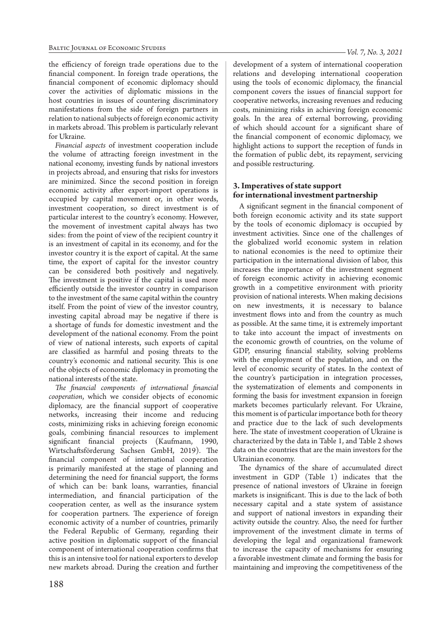the efficiency of foreign trade operations due to the financial component. In foreign trade operations, the financial component of economic diplomacy should cover the activities of diplomatic missions in the host countries in issues of countering discriminatory manifestations from the side of foreign partners in relation to national subjects of foreign economic activity in markets abroad. This problem is particularly relevant for Ukraine.

*Financial aspects* of investment cooperation include the volume of attracting foreign investment in the national economy, investing funds by national investors in projects abroad, and ensuring that risks for investors are minimized. Since the second position in foreign economic activity after export-import operations is occupied by capital movement or, in other words, investment cooperation, so direct investment is of particular interest to the country's economy. However, the movement of investment capital always has two sides: from the point of view of the recipient country it is an investment of capital in its economy, and for the investor country it is the export of capital. At the same time, the export of capital for the investor country can be considered both positively and negatively. The investment is positive if the capital is used more efficiently outside the investor country in comparison to the investment of the same capital within the country itself. From the point of view of the investor country, investing capital abroad may be negative if there is a shortage of funds for domestic investment and the development of the national economy. From the point of view of national interests, such exports of capital are classified as harmful and posing threats to the country's economic and national security. This is one of the objects of economic diplomacy in promoting the national interests of the state.

*The financial components of international financial cooperation*, which we consider objects of economic diplomacy, are the financial support of cooperative networks, increasing their income and reducing costs, minimizing risks in achieving foreign economic goals, combining financial resources to implement significant financial projects (Kaufmann, 1990, Wirtschaftsförderung Sachsen GmbH, 2019). The financial component of international cooperation is primarily manifested at the stage of planning and determining the need for financial support, the forms of which can be: bank loans, warranties, financial intermediation, and financial participation of the cooperation center, as well as the insurance system for cooperation partners. The experience of foreign economic activity of a number of countries, primarily the Federal Republic of Germany, regarding their active position in diplomatic support of the financial component of international cooperation confirms that this is an intensive tool for national exporters to develop new markets abroad. During the creation and further

development of a system of international cooperation relations and developing international cooperation using the tools of economic diplomacy, the financial component covers the issues of financial support for cooperative networks, increasing revenues and reducing costs, minimizing risks in achieving foreign economic goals. In the area of external borrowing, providing of which should account for a significant share of the financial component of economic diplomacy, we highlight actions to support the reception of funds in the formation of public debt, its repayment, servicing and possible restructuring.

# **3. Imperatives of state support for international investment partnership**

A significant segment in the financial component of both foreign economic activity and its state support by the tools of economic diplomacy is occupied by investment activities. Since one of the challenges of the globalized world economic system in relation to national economies is the need to optimize their participation in the international division of labor, this increases the importance of the investment segment of foreign economic activity in achieving economic growth in a competitive environment with priority provision of national interests. When making decisions on new investments, it is necessary to balance investment flows into and from the country as much as possible. At the same time, it is extremely important to take into account the impact of investments on the economic growth of countries, on the volume of GDP, ensuring financial stability, solving problems with the employment of the population, and on the level of economic security of states. In the context of the country's participation in integration processes, the systematization of elements and components in forming the basis for investment expansion in foreign markets becomes particularly relevant. For Ukraine, this moment is of particular importance both for theory and practice due to the lack of such developments here. The state of investment cooperation of Ukraine is characterized by the data in Table 1, and Table 2 shows data on the countries that are the main investors for the Ukrainian economy.

The dynamics of the share of accumulated direct investment in GDP (Table 1) indicates that the presence of national investors of Ukraine in foreign markets is insignificant. This is due to the lack of both necessary capital and a state system of assistance and support of national investors in expanding their activity outside the country. Also, the need for further improvement of the investment climate in terms of developing the legal and organizational framework to increase the capacity of mechanisms for ensuring a favorable investment climate and forming the basis for maintaining and improving the competitiveness of the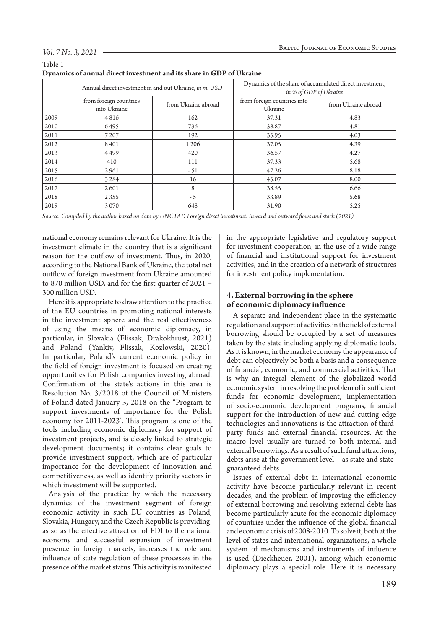Table 1

|      |                                        | Annual direct investment in and out Ukraine, in m. USD | Dynamics of the share of accumulated direct investment,<br>in % of GDP of Ukraine |                     |  |
|------|----------------------------------------|--------------------------------------------------------|-----------------------------------------------------------------------------------|---------------------|--|
|      | from foreign countries<br>into Ukraine | from Ukraine abroad                                    | from foreign countries into<br>Ukraine                                            | from Ukraine abroad |  |
| 2009 | 4816                                   | 162                                                    | 37.31                                                                             | 4.83                |  |
| 2010 | 6495                                   | 736                                                    | 38.87                                                                             | 4.81                |  |
| 2011 | 7 2 0 7                                | 192                                                    | 35.95                                                                             | 4.03                |  |
| 2012 | 8401                                   | 1 2 0 6                                                | 37.05                                                                             | 4.39                |  |
| 2013 | 4499                                   | 420                                                    | 36.57                                                                             | 4.27                |  |
| 2014 | 410                                    | 111                                                    | 37.33                                                                             | 5.68                |  |
| 2015 | 2961                                   | $-51$                                                  | 47.26                                                                             | 8.18                |  |
| 2016 | 3 2 8 4                                | 16                                                     | 45.07                                                                             | 8.00                |  |
| 2017 | 2601                                   | 8                                                      | 38.55                                                                             | 6.66                |  |
| 2018 | 2 3 5 5                                | $-5$                                                   | 33.89                                                                             | 5.68                |  |
| 2019 | 3070                                   | 648                                                    | 31.90                                                                             | 5.25                |  |

*Source: Compiled by the author based on data by UNCTAD Foreign direct investment: Inward and outward flows and stock (2021)*

national economy remains relevant for Ukraine. It is the investment climate in the country that is a significant reason for the outflow of investment. Thus, in 2020, according to the National Bank of Ukraine, the total net outflow of foreign investment from Ukraine amounted to 870 million USD, and for the first quarter of 2021 – 300 million USD.

Here it is appropriate to draw attention to the practice of the EU countries in promoting national interests in the investment sphere and the real effectiveness of using the means of economic diplomacy, in particular, in Slovakia (Flissak, Drakokhrust, 2021) and Poland (Yankiv, Flissak, Kozłowski, 2020). In particular, Poland's current economic policy in the field of foreign investment is focused on creating opportunities for Polish companies investing abroad. Confirmation of the state's actions in this area is Resolution No. 3/2018 of the Council of Ministers of Poland dated January 3, 2018 on the "Program to support investments of importance for the Polish economy for 2011-2023". This program is one of the tools including economic diplomacy for support of investment projects, and is closely linked to strategic development documents; it contains clear goals to provide investment support, which are of particular importance for the development of innovation and competitiveness, as well as identify priority sectors in which investment will be supported.

Analysis of the practice by which the necessary dynamics of the investment segment of foreign economic activity in such EU countries as Poland, Slovakia, Hungary, and the Czech Republic is providing, as so as the effective attraction of FDI to the national economy and successful expansion of investment presence in foreign markets, increases the role and influence of state regulation of these processes in the presence of the market status. This activity is manifested in the appropriate legislative and regulatory support for investment cooperation, in the use of a wide range of financial and institutional support for investment activities, and in the creation of a network of structures for investment policy implementation.

# **4. External borrowing in the sphere of economic diplomacy influence**

A separate and independent place in the systematic regulation and support of activities in the field of external borrowing should be occupied by a set of measures taken by the state including applying diplomatic tools. As it is known, in the market economy the appearance of debt can objectively be both a basis and a consequence of financial, economic, and commercial activities. That is why an integral element of the globalized world economic system in resolving the problem of insufficient funds for economic development, implementation of socio-economic development programs, financial support for the introduction of new and cutting edge technologies and innovations is the attraction of thirdparty funds and external financial resources. At the macro level usually are turned to both internal and external borrowings. As a result of such fund attractions, debts arise at the government level – as state and stateguaranteed debts.

Issues of external debt in international economic activity have become particularly relevant in recent decades, and the problem of improving the efficiency of external borrowing and resolving external debts has become particularly acute for the economic diplomacy of countries under the influence of the global financial and economic crisis of 2008-2010. To solve it, both at the level of states and international organizations, a whole system of mechanisms and instruments of influence is used (Dieckheuer, 2001), among which economic diplomacy plays a special role. Here it is necessary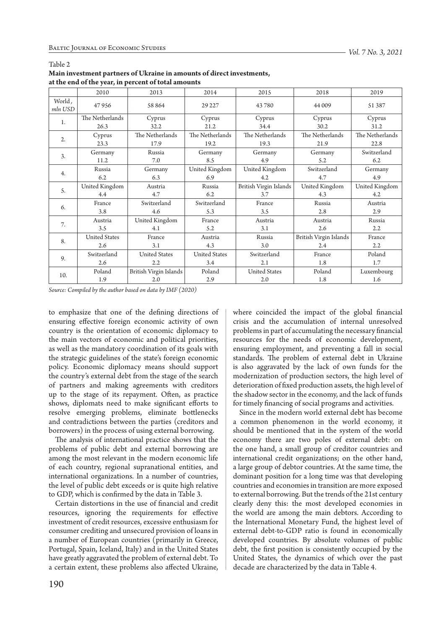|                   |                      | at the chu of the year, in percent or total amounts |                      |                        |                        |                  |
|-------------------|----------------------|-----------------------------------------------------|----------------------|------------------------|------------------------|------------------|
|                   | 2010                 | 2013                                                | 2014                 | 2015                   | 2018                   | 2019             |
| World,<br>mln USD | 47956                | 58 864                                              | 29 227               | 43780                  | 44 009                 | 51 387           |
| 1.                | The Netherlands      | Cyprus                                              | Cyprus               | Cyprus                 | Cyprus                 | Cyprus           |
|                   | 26.3                 | 32.2                                                | 21.2                 | 34.4                   | 30.2                   | 31.2             |
| 2.                | Cyprus               | The Netherlands                                     | The Netherlands      | The Netherlands        | The Netherlands        | The Netherlands  |
|                   | 23.3                 | 17.9                                                | 19.2                 | 19.3                   | 21.9                   | 22.8             |
| 3.                | Germany              | Russia                                              | Germany              | Germany                | Germany                | Switzerland      |
|                   | 11.2                 | 7.0                                                 | 8.5                  | 4.9                    | 5.2                    | 6.2              |
|                   | Russia               | Germany                                             | United Kingdom       | United Kingdom         | Switzerland            | Germany          |
| 4.                | 6.2                  | 6.3                                                 | 6.9                  | 4.2                    | 4.7                    | 4.9              |
| 5.                | United Kingdom       | Austria                                             | Russia               | British Virgin Islands | United Kingdom         | United Kingdom   |
|                   | 4.4                  | 4.7                                                 | 6.2                  | 3.7                    | 4.3                    | 4.2              |
| 6.                | France               | Switzerland                                         | Switzerland          | France                 | Russia                 | Austria          |
|                   | 3.8                  | 4.6                                                 | 5.3                  | 3.5                    | 2.8                    | 2.9              |
| 7.                | Austria              | United Kingdom                                      | France               | Austria                | Austria                | Russia           |
|                   | 3.5                  | 4.1                                                 | 5.2                  | 3.1                    | 2.6                    | $2.2\phantom{0}$ |
|                   | <b>United States</b> | France                                              | Austria              | Russia                 | British Virgin Islands | France           |
| 8.                | 2.6                  | 3.1                                                 | 4.3                  | 3.0                    | 2.4                    | 2.2              |
|                   | Switzerland          | <b>United States</b>                                | <b>United States</b> | Switzerland            | France                 | Poland           |
| 9.                | 2.6                  | $2.2\,$                                             | 3.4                  | 2.1                    | 1.8                    | 1.7              |
|                   | Poland               | British Virgin Islands                              | Poland               | <b>United States</b>   | Poland                 | Luxembourg       |
| 10.               | 1.9                  | 2.0                                                 | 2.9                  | 2.0                    | 1.8                    | 1.6              |

#### Table 2

**Main investment partners of Ukraine in amounts of direct investments, at the end of the year, in percent of total amounts**

*Source: Compiled by the author based on data by IMF (2020)*

to emphasize that one of the defining directions of ensuring effective foreign economic activity of own country is the orientation of economic diplomacy to the main vectors of economic and political priorities, as well as the mandatory coordination of its goals with the strategic guidelines of the state's foreign economic policy. Economic diplomacy means should support the country's external debt from the stage of the search of partners and making agreements with creditors up to the stage of its repayment. Often, as practice shows, diplomats need to make significant efforts to resolve emerging problems, eliminate bottlenecks and contradictions between the parties (creditors and borrowers) in the process of using external borrowing.

The analysis of international practice shows that the problems of public debt and external borrowing are among the most relevant in the modern economic life of each country, regional supranational entities, and international organizations. In a number of countries, the level of public debt exceeds or is quite high relative to GDP, which is confirmed by the data in Table 3.

Certain distortions in the use of financial and credit resources, ignoring the requirements for effective investment of credit resources, excessive enthusiasm for consumer crediting and unsecured provision of loans in a number of European countries (primarily in Greece, Portugal, Spain, Iceland, Italy) and in the United States have greatly aggravated the problem of external debt. To a certain extent, these problems also affected Ukraine, where coincided the impact of the global financial crisis and the accumulation of internal unresolved problems in part of accumulating the necessary financial resources for the needs of economic development, ensuring employment, and preventing a fall in social standards. The problem of external debt in Ukraine is also aggravated by the lack of own funds for the modernization of production sectors, the high level of deterioration of fixed production assets, the high level of the shadow sector in the economy, and the lack of funds for timely financing of social programs and activities.

Since in the modern world external debt has become a common phenomenon in the world economy, it should be mentioned that in the system of the world economy there are two poles of external debt: on the one hand, a small group of creditor countries and international credit organizations; on the other hand, a large group of debtor countries. At the same time, the dominant position for a long time was that developing countries and economies in transition are more exposed to external borrowing. But the trends of the 21st century clearly deny this: the most developed economies in the world are among the main debtors. According to the International Monetary Fund, the highest level of external debt-to-GDP ratio is found in economically developed countries. By absolute volumes of public debt, the first position is consistently occupied by the United States, the dynamics of which over the past decade are characterized by the data in Table 4.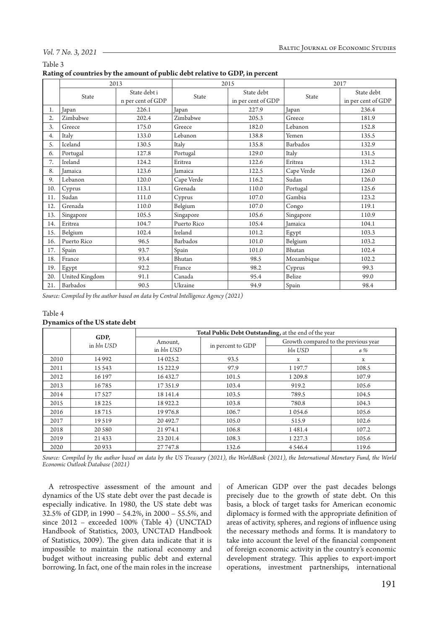|                | Table 3 |  |  |  |  |
|----------------|---------|--|--|--|--|
| $\blacksquare$ |         |  |  |  |  |

| Rating of countries by the amount of public debt relative to GDP, in percent |  |
|------------------------------------------------------------------------------|--|
|------------------------------------------------------------------------------|--|

|     | 2013           |                   |             | 2015               | 2017       |                    |
|-----|----------------|-------------------|-------------|--------------------|------------|--------------------|
|     | State          | State debt i      | State       | State debt         | State      | State debt         |
|     |                | n per cent of GDP |             | in per cent of GDP |            | in per cent of GDP |
| 1.  | Japan          | 226.1             | Japan       | 227.9              | Japan      | 236.4              |
| 2.  | Zimbabwe       | 202.4             | Zimbabwe    | 205.3              | Greece     | 181.9              |
| 3.  | Greece         | 175.0             | Greece      | 182.0              | Lebanon    | 152.8              |
| 4.  | Italy          | 133.0             | Lebanon     | 138.8              | Yemen      | 135.5              |
| 5.  | Iceland        | 130.5             | Italy       | 135.8              | Barbados   | 132.9              |
| 6.  | Portugal       | 127.8             | Portugal    | 129.0              | Italy      | 131.5              |
| 7.  | Ireland        | 124.2             | Eritrea     | 122.6              | Eritrea    | 131.2              |
| 8.  | Jamaica        | 123.6             | Jamaica     | 122.5              | Cape Verde | 126.0              |
| 9.  | Lebanon        | 120.0             | Cape Verde  | 116.2              | Sudan      | 126.0              |
| 10. | Cyprus         | 113.1             | Grenada     | 110.0              | Portugal   | 125.6              |
| 11. | Sudan          | 111.0             | Cyprus      | 107.0              | Gambia     | 123.2              |
| 12. | Grenada        | 110.0             | Belgium     | 107.0              | Congo      | 119.1              |
| 13. | Singapore      | 105.5             | Singapore   | 105.6              | Singapore  | 110.9              |
| 14. | Eritrea        | 104.7             | Puerto Rico | 105.4              | Jamaica    | 104.1              |
| 15. | Belgium        | 102.4             | Ireland     | 101.2              | Egypt      | 103.3              |
| 16. | Puerto Rico    | 96.5              | Barbados    | 101.0              | Belgium    | 103.2              |
| 17. | Spain          | 93.7              | Spain       | 101.0              | Bhutan     | 102.4              |
| 18. | France         | 93.4              | Bhutan      | 98.5               | Mozambique | 102.2              |
| 19. | Egypt          | 92.2              | France      | 98.2               | Cyprus     | 99.3               |
| 20. | United Kingdom | 91.1              | Canada      | 95.4               | Belize     | 99.0               |
| 21. | Barbados       | 90.5              | Ukraine     | 94.9               | Spain      | 98.4               |

*Source: Compiled by the author based on data by Central Intelligence Agency (2021)*

#### Table 4

## **Dynamics of the US state debt**

|      |                    | Total Public Debt Outstanding, at the end of the year |                   |                                      |       |  |  |
|------|--------------------|-------------------------------------------------------|-------------------|--------------------------------------|-------|--|--|
|      | GDP,<br>in bln USD | Amount,                                               |                   | Growth compared to the previous year |       |  |  |
|      |                    | in bln USD                                            | in percent to GDP | bln USD                              | $6\%$ |  |  |
| 2010 | 14992              | 14 025.2                                              | 93.5              | X                                    | x     |  |  |
| 2011 | 15 5 43            | 15 222.9                                              | 97.9              | 1 197.7                              | 108.5 |  |  |
| 2012 | 16 197             | 16432.7                                               | 101.5             | 1 209.8                              | 107.9 |  |  |
| 2013 | 16785              | 17351.9                                               | 103.4             | 919.2                                | 105.6 |  |  |
| 2014 | 17527              | 18 14 1.4                                             | 103.5             | 789.5                                | 104.5 |  |  |
| 2015 | 18225              | 18922.2                                               | 103.8             | 780.8                                | 104.3 |  |  |
| 2016 | 18715              | 19 976.8                                              | 106.7             | 1 0 5 4 . 6                          | 105.6 |  |  |
| 2017 | 19519              | 20492.7                                               | 105.0             | 515.9                                | 102.6 |  |  |
| 2018 | 20 5 80            | 21 974.1                                              | 106.8             | 1481.4                               | 107.2 |  |  |
| 2019 | 21 4 33            | 23 201.4                                              | 108.3             | 1 2 2 7 . 3                          | 105.6 |  |  |
| 2020 | 20933              | 27 747.8                                              | 132.6             | 4 5 4 6.4                            | 119.6 |  |  |

*Source: Compiled by the author based on data by the US Treasury (2021), the WorldBank (2021), the International Monetary Fund, the World Economic Outlook Database (2021)*

A retrospective assessment of the amount and dynamics of the US state debt over the past decade is especially indicative. In 1980, the US state debt was 32.5% of GDP, in 1990 – 54.2%, in 2000 – 55.5%, and since 2012 – exceeded 100% (Table 4) (UNCTAD Handbook of Statistics, 2003, UNCTAD Handbook of Statistics, 2009). The given data indicate that it is impossible to maintain the national economy and budget without increasing public debt and external borrowing. In fact, one of the main roles in the increase

of American GDP over the past decades belongs precisely due to the growth of state debt. On this basis, a block of target tasks for American economic diplomacy is formed with the appropriate definition of areas of activity, spheres, and regions of influence using the necessary methods and forms. It is mandatory to take into account the level of the financial component of foreign economic activity in the country's economic development strategy. This applies to export-import operations, investment partnerships, international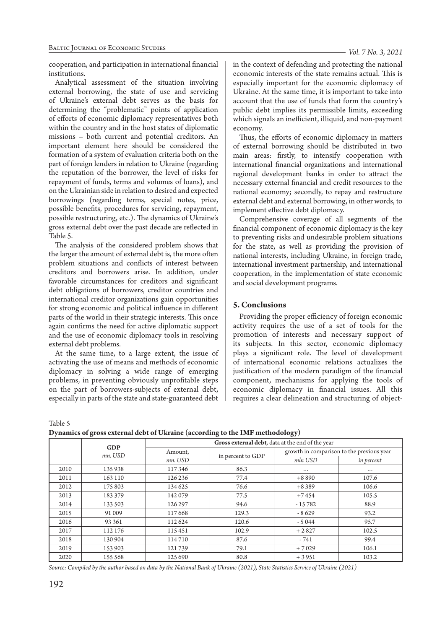cooperation, and participation in international financial institutions.

Analytical assessment of the situation involving external borrowing, the state of use and servicing of Ukraine's external debt serves as the basis for determining the "problematic" points of application of efforts of economic diplomacy representatives both within the country and in the host states of diplomatic missions – both current and potential creditors. An important element here should be considered the formation of a system of evaluation criteria both on the part of foreign lenders in relation to Ukraine (regarding the reputation of the borrower, the level of risks for repayment of funds, terms and volumes of loans), and on the Ukrainian side in relation to desired and expected borrowings (regarding terms, special notes, price, possible benefits, procedures for servicing, repayment, possible restructuring, etc.). The dynamics of Ukraine's gross external debt over the past decade are reflected in Table 5.

The analysis of the considered problem shows that the larger the amount of external debt is, the more often problem situations and conflicts of interest between creditors and borrowers arise. In addition, under favorable circumstances for creditors and significant debt obligations of borrowers, creditor countries and international creditor organizations gain opportunities for strong economic and political influence in different parts of the world in their strategic interests. This once again confirms the need for active diplomatic support and the use of economic diplomacy tools in resolving external debt problems.

At the same time, to a large extent, the issue of activating the use of means and methods of economic diplomacy in solving a wide range of emerging problems, in preventing obviously unprofitable steps on the part of borrowers-subjects of external debt, especially in parts of the state and state-guaranteed debt in the context of defending and protecting the national economic interests of the state remains actual. This is especially important for the economic diplomacy of Ukraine. At the same time, it is important to take into account that the use of funds that form the country's public debt implies its permissible limits, exceeding which signals an inefficient, illiquid, and non-payment economy.

Thus, the efforts of economic diplomacy in matters of external borrowing should be distributed in two main areas: firstly, to intensify cooperation with international financial organizations and international regional development banks in order to attract the necessary external financial and credit resources to the national economy; secondly, to repay and restructure external debt and external borrowing, in other words, to implement effective debt diplomacy.

Comprehensive coverage of all segments of the financial component of economic diplomacy is the key to preventing risks and undesirable problem situations for the state, as well as providing the provision of national interests, including Ukraine, in foreign trade, international investment partnership, and international cooperation, in the implementation of state economic and social development programs.

# **5. Conclusions**

Providing the proper efficiency of foreign economic activity requires the use of a set of tools for the promotion of interests and necessary support of its subjects. In this sector, economic diplomacy plays a significant role. The level of development of international economic relations actualizes the justification of the modern paradigm of the financial component, mechanisms for applying the tools of economic diplomacy in financial issues. All this requires a clear delineation and structuring of object-

Table 5

**Dynamics of gross external debt of Ukraine (according to the IMF methodology)**

| ັ    |                       |                                                  | ັ                 | $\mathbf{v}$                              |            |  |  |
|------|-----------------------|--------------------------------------------------|-------------------|-------------------------------------------|------------|--|--|
|      |                       | Gross external debt, data at the end of the year |                   |                                           |            |  |  |
|      | <b>GDP</b><br>mn. USD | Amount,                                          |                   | growth in comparison to the previous year |            |  |  |
|      |                       | mn. USD                                          | in percent to GDP | mln USD                                   | in percent |  |  |
| 2010 | 135938                | 117346                                           | 86.3              | $\cdots$                                  | $\cdots$   |  |  |
| 2011 | 163 110               | 126 236                                          | 77.4              | $+8890$                                   | 107.6      |  |  |
| 2012 | 175 803               | 134 625                                          | 76.6              | $+8389$                                   | 106.6      |  |  |
| 2013 | 183379                | 142079                                           | 77.5              | $+7454$                                   | 105.5      |  |  |
| 2014 | 133 503               | 126 297                                          | 94.6              | $-15782$                                  | 88.9       |  |  |
| 2015 | 91 009                | 117668                                           | 129.3             | $-8629$                                   | 93.2       |  |  |
| 2016 | 93 361                | 112624                                           | 120.6             | $-5044$                                   | 95.7       |  |  |
| 2017 | 112 176               | 115451                                           | 102.9             | $+2827$                                   | 102.5      |  |  |
| 2018 | 130 904               | 114710                                           | 87.6              | $-741$                                    | 99.4       |  |  |
| 2019 | 153 903               | 121739                                           | 79.1              | $+7029$                                   | 106.1      |  |  |
| 2020 | 155 568               | 125 690                                          | 80.8              | $+3951$                                   | 103.2      |  |  |

*Source: Compiled by the author based on data by the National Bank of Ukraine (2021), State Statistics Service of Ukraine (2021)*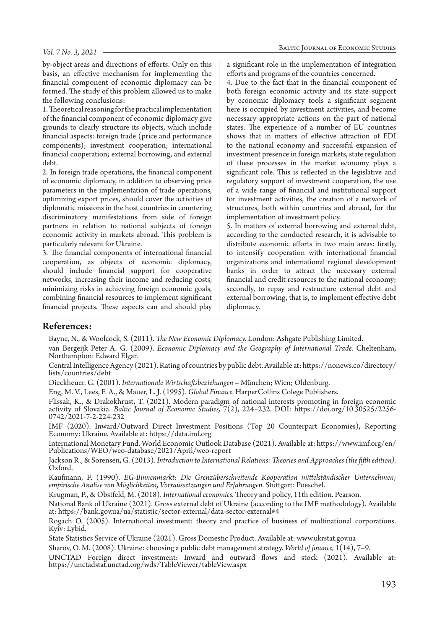by-object areas and directions of efforts. Only on this basis, an effective mechanism for implementing the financial component of economic diplomacy can be formed. The study of this problem allowed us to make the following conclusions:

1. Theoretical reasoning for the practical implementation of the financial component of economic diplomacy give grounds to clearly structure its objects, which include financial aspects: foreign trade (price and performance components); investment cooperation; international financial cooperation; external borrowing, and external debt.

2. In foreign trade operations, the financial component of economic diplomacy, in addition to observing price parameters in the implementation of trade operations, optimizing export prices, should cover the activities of diplomatic missions in the host countries in countering discriminatory manifestations from side of foreign partners in relation to national subjects of foreign economic activity in markets abroad. This problem is particularly relevant for Ukraine.

3. The financial components of international financial cooperation, as objects of economic diplomacy, should include financial support for cooperative networks, increasing their income and reducing costs, minimizing risks in achieving foreign economic goals, combining financial resources to implement significant financial projects. These aspects can and should play a significant role in the implementation of integration efforts and programs of the countries concerned.

4. Due to the fact that in the financial component of both foreign economic activity and its state support by economic diplomacy tools a significant segment here is occupied by investment activities, and become necessary appropriate actions on the part of national states. The experience of a number of EU countries shows that in matters of effective attraction of FDI to the national economy and successful expansion of investment presence in foreign markets, state regulation of these processes in the market economy plays a significant role. This is reflected in the legislative and regulatory support of investment cooperation, the use of a wide range of financial and institutional support for investment activities, the creation of a network of structures, both within countries and abroad, for the implementation of investment policy.

5. In matters of external borrowing and external debt, according to the conducted research, it is advisable to distribute economic efforts in two main areas: firstly, to intensify cooperation with international financial organizations and international regional development banks in order to attract the necessary external financial and credit resources to the national economy; secondly, to repay and restructure external debt and external borrowing, that is, to implement effective debt diplomacy.

# **References:**

Bayne, N., & Woolcock, S. (2011). *The New Economic Diplomacy.* London: Ashgate Publishing Limited.

van Bergeijk Peter A. G. (2009). *Economic Diplomacy and the Geography of International Trade.* Cheltenham, Northampton: Edward Elgar.

Central Intelligence Agency (2021). Rating of countries by public debt. Available at: https://nonews.co/directory/ lists/countries/debt

Dieckheuer, G. (2001). *Internationale Wirtschaftsbeziehungen* – München; Wien; Oldenburg.

Eng, M. V., Lees, F. A., & Mauer, L. J. (1995). *Global Finance.* HarperCollins Colege Publishers.

Flissak, K., & Drakokhrust, T. (2021). Modern paradigm of national interests promoting in foreign economic activity of Slovakia. *Baltic Journal of Economic Studies,* 7(2), 224–232. DOI: https://doi.org/10.30525/2256- 0742/2021-7-2-224-232

IMF (2020). Inward/Outward Direct Investment Positions (Top 20 Counterpart Economies), Reporting Economy: Ukraine. Available at: https://data.imf.org

International Monetary Fund. World Economic Outlook Database (2021). Available at: https://www.imf.org/en/ Publications/WEO/weo-database/2021/April/weo-report

Jackson R., & Sorensen, G. (2013). *Introduction to International Relations: Theories and Approaches (the fifth edition).* Oxford.

Kaufmann, F. (1990). *EG-Binnenmarkt: Die Grenzüberschreitende Kooperation mittelständischer Unternehmen; empirische Analise von Möglichkeiten, Vorraussetzungen und Erfahrungen.* Stuttgart: Poeschel.

Krugman, P., & Obstfeld, M. (2018). *International economics.* Theory and policy, 11th edition. Pearson.

National Bank of Ukraine (2021). Gross external debt of Ukraine (according to the IMF methodology). Available at: https://bank.gov.ua/ua/statistic/sector-external/data-sector-external#4

Rogach O. (2005). International investment: theory and practice of business of multinational corporations. Kyiv: Lybid.

State Statistics Service of Ukraine (2021). Gross Domestic Product. Available at: www.ukrstat.gov.ua

Sharov, O. M. (2008). Ukraine: choosing a public debt management strategy. *World of finance,* 1(14), 7–9.

UNCTAD Foreign direct investment: Inward and outward flows and stock (2021). Available at: https://unctadstat.unctad.org/wds/TableViewer/tableView.aspx